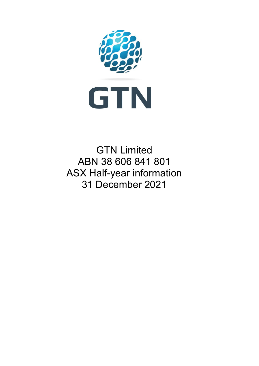

GTN Limited ABN 38 606 841 801 ASX Half-year information 31 December 2021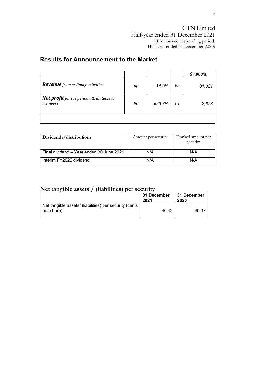### **Results for Announcement to the Market**

|                                                             |    |        |    | \$(.000's) |
|-------------------------------------------------------------|----|--------|----|------------|
| <b>Revenue</b> from ordinary activities                     | иp | 14.5%  | to | 81,021     |
| <b>Net profit</b> for the period attributable to<br>members | иp | 629.7% | To | 2,678      |
|                                                             |    |        |    |            |

| Dividends/distributions                  | Amount per security | Franked amount per<br>security |
|------------------------------------------|---------------------|--------------------------------|
| Final dividend - Year ended 30 June 2021 | N/A                 | N/A                            |
| Interim FY2022 dividend                  | N/A                 | N/A                            |

### **Net tangible assets / (liabilities) per security**

|                                                                      | 31 December<br>2021 | 31 December<br>2020 |
|----------------------------------------------------------------------|---------------------|---------------------|
| Net tangible assets/ (liabilities) per security (cents<br>per share) | \$0.42              | \$0.37              |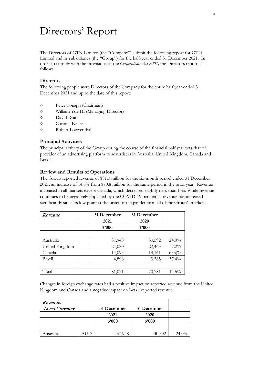# Directors' Report

The Directors of GTN Limited (the "Company") submit the following report for GTN Limited and its subsidiaries (the "Group") for the half-year ended 31 December 2021. In order to comply with the provisions of the *Corporations Act 2001,* the Directors report as follows:

#### **Directors**

The following people were Directors of the Company for the entire half year ended 31 December 2021 and up to the date of this report:

- Peter Tonagh (Chairman)
- William Yde III (Managing Director)
- David Ryan
- Corinna Keller
- Robert Loewenthal

#### **Principal Activities**

The principal activity of the Group during the course of the financial half year was that of provider of an advertising platform to advertisers in Australia, United Kingdom, Canada and Brazil.

#### **Review and Results of Operations**

The Group reported revenue of \$81.0 million for the six-month period ended 31 December 2021, an increase of 14.5% from \$70.8 million for the same period in the prior year. Revenue increased in all markets except Canada, which decreased slightly (less than 1%). While revenue continues to be negatively impacted by the COVID-19 pandemic, revenue has increased significantly since its low point at the onset of the pandemic in all of the Group's markets.

| Revenue        | 31 December | 31 December |           |
|----------------|-------------|-------------|-----------|
|                | 2021        | 2020        |           |
|                | \$2000      | \$'000      |           |
|                |             |             |           |
| Australia      | 37,948      | 30,592      | 24.0%     |
| United Kingdom | 24,080      | 22,463      | 7.2%      |
| Canada         | 14,095      | 14,161      | $(0.5)\%$ |
| Brazil         | 4,898       | 3,565       | 37.4%     |
|                |             |             |           |
| Total          | 81,021      | 70,781      | $14.5\%$  |

Changes in foreign exchange rates had a positive impact on reported revenue from the United Kingdom and Canada and a negative impact on Brazil reported revenue.

| Revenue:       |     |             |             |          |
|----------------|-----|-------------|-------------|----------|
| Local Currency |     | 31 December | 31 December |          |
|                |     | 2021        | 2020        |          |
|                |     | \$3000      | \$3000      |          |
|                |     |             |             |          |
| Australia      | ு⊥ட | 37.948      | 30,592      | $24.0\%$ |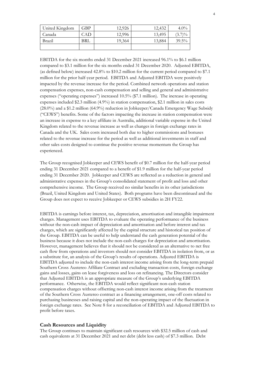| United Kingdom | GBP | 12,926 | 12,432 | $4.0\%$   |
|----------------|-----|--------|--------|-----------|
| Canada         | CAD | 12,996 | 13,495 | $(3.7)\%$ |
| Brazil         | BRL | 19,364 | 13,884 | $39.5\%$  |
|                |     |        |        |           |

EBITDA for the six months ended 31 December 2021 increased 96.1% to \$6.1 million compared to \$3.1 million for the six months ended 31 December 2020. Adjusted EBITDA, (as defined below) increased 42.8% to \$10.2 million for the current period compared to \$7.1 million for the prior half-year period. EBITDA and Adjusted EBITDA were positively impacted by the revenue increase for the period. Combined network operations and station compensation expenses, non-cash compensation and selling and general and administrative expenses ("operating expenses") increased 10.5% (\$7.1 million). The increase in operating expenses included \$2.3 million (4.9%) in station compensation, \$2.1 million in sales costs (28.0%) and a \$1.2 million (64.9%) reduction in Jobkeeper/Canada Emergency Wage Subsidy ("CEWS") benefits. Some of the factors impacting the increase in station compensation were an increase in expense to a key affiliate in Australia, additional variable expense in the United Kingdom related to the revenue increase as well as changes in foreign exchange rates in Canada and the UK. Sales costs increased both due to higher commissions and bonuses related to the revenue increase for the period as well as additional investments in staff and other sales costs designed to continue the positive revenue momentum the Group has experienced.

The Group recognised Jobkeeper and CEWS benefit of \$0.7 million for the half-year period ending 31 December 2021 compared to a benefit of \$1.9 million for the half-year period ending 31 December 2020. Jobkeeper and CEWS are reflected as a reduction in general and administrative expenses in the Group's consolidated statement of profit and loss and other comprehensive income. The Group received no similar benefits in its other jurisdictions (Brazil, United Kingdom and United States). Both programs have been discontinued and the Group does not expect to receive Jobkeeper or CEWS subsidies in 2H FY22.

EBITDA is earnings before interest, tax, depreciation, amortisation and intangible impairment charges. Management uses EBITDA to evaluate the operating performance of the business without the non-cash impact of depreciation and amortisation and before interest and tax charges, which are significantly affected by the capital structure and historical tax position of the Group. EBITDA can be useful to help understand the cash generation potential of the business because it does not include the non-cash charges for depreciation and amortisation. However, management believes that it should not be considered as an alternative to net free cash flow from operations and investors should not consider EBITDA in isolation from, or as a substitute for, an analysis of the Group's results of operations. Adjusted EBITDA is EBITDA adjusted to include the non-cash interest income arising from the long-term prepaid Southern Cross Austereo Affiliate Contract and excluding transaction costs, foreign exchange gains and losses, gains on lease forgiveness and loss on refinancing. The Directors consider that Adjusted EBITDA is an appropriate measure of the Group's underlying EBITDA performance. Otherwise, the EBITDA would reflect significant non-cash station compensation charges without offsetting non-cash interest income arising from the treatment of the Southern Cross Austereo contract as a financing arrangement, one-off costs related to purchasing businesses and raising capital and the non-operating impact of the fluctuation in foreign exchange rates. See Note 8 for a reconciliation of EBITDA and Adjusted EBITDA to profit before taxes.

#### **Cash Resources and Liquidity**

The Group continues to maintain significant cash resources with \$32.5 million of cash and cash equivalents at 31 December 2021 and net debt (debt less cash) of \$7.3 million. Debt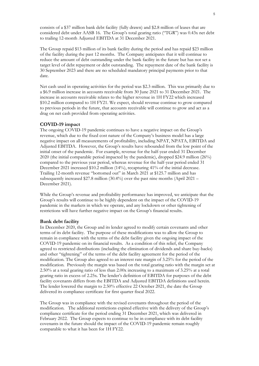consists of a \$37 million bank debt facility (fully drawn) and \$2.8 million of leases that are considered debt under AASB 16. The Group's total gearing ratio ("TGR") was 0.43x net debt to trailing 12-month Adjusted EBITDA at 31 December 2021.

The Group repaid \$13 million of its bank facility during the period and has repaid \$23 million of the facility during the past 12 months. The Company anticipates that it will continue to reduce the amount of debt outstanding under the bank facility in the future but has not set a target level of debt repayment or debt outstanding. The repayment date of the bank facility is 30 September 2023 and there are no scheduled mandatory principal payments prior to that date.

Net cash used in operating activities for the period was \$2.3 million. This was primarily due to a \$6.9 million increase in accounts receivable from 30 June 2021 to 31 December 2021. The increase in accounts receivable relates to the higher revenue in 1H FY22 which increased \$10.2 million compared to 1H FY21. We expect, should revenue continue to grow compared to previous periods in the future, that accounts receivable will continue to grow and act as a drag on net cash provided from operating activities.

#### **COVID-19 impact**

The ongoing COVID-19 pandemic continues to have a negative impact on the Group's revenue, which due to the fixed cost nature of the Company's business model has a large negative impact on all measurements of profitability, including NPAT, NPATA, EBITDA and Adjusted EBITDA. However, the Group's results have rebounded from the low point of the initial onset of the pandemic. For example, revenue for the half-year ended 31 December 2020 (the initial comparable period impacted by the pandemic), dropped \$24.9 million (26%) compared to the previous year period, whereas revenue for the half-year period ended 31 December 2021 increased \$10.2 million (14%), recapturing 41% of the initial decrease. Trailing 12-month revenue "bottomed out" in March 2021 at \$125.7 million and has subsequently increased \$27.8 million (30.4%) over the past nine months (April 2021 – December 2021).

While the Group's revenue and profitability performance has improved, we anticipate that the Group's results will continue to be highly dependent on the impact of the COVID-19 pandemic in the markets in which we operate, and any lockdown or other tightening of restrictions will have further negative impact on the Group's financial results.

#### **Bank debt facility**

In December 2020, the Group and its lender agreed to modify certain covenants and other terms of its debt facility. The purpose of these modifications was to allow the Group to remain in compliance with the terms of the debt facility given the ongoing impact of the COVID-19 pandemic on its financial results. As a condition of this relief, the Company agreed to restricted distributions (including the elimination of dividends and share buy-backs) and other "tightening" of the terms of the debt facility agreement for the period of the modification. The Group also agreed to an interest rate margin of 3.25% for the period of the modification. Previously the margin was based on the total gearing ratio with the margin set at 2.50% at a total gearing ratio of less than 2.00x increasing to a maximum of 3.25% at a total gearing ratio in excess of 2.25x. The lender's definition of EBITDA for purposes of the debt facility covenants differs from the EBITDA and Adjusted EBITDA definitions used herein. The lender lowered the margin to 2.50% effective 22 October 2021, the date the Group delivered its compliance certificate for first quarter fiscal 2022.

The Group was in compliance with the revised covenants throughout the period of the modification. The additional restrictions expired effective with the delivery of the Group's compliance certificate for the period ending 31 December 2021, which was delivered in February 2022. The Group expects to continue to be in compliance with its debt facility covenants in the future should the impact of the COVID-19 pandemic remain roughly comparable to what it has been for 1H FY22.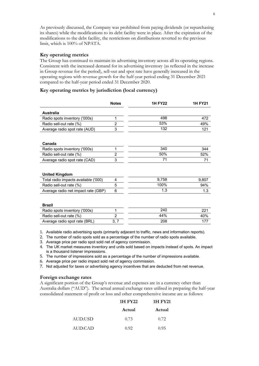As previously discussed, the Company was prohibited from paying dividends (or repurchasing its shares) while the modifications to its debt facility were in place. After the expiration of the modifications to the debt facility, the restrictions on distributions reverted to the previous limit, which is 100% of NPATA.

#### **Key operating metrics**

The Group has continued to maintain its advertising inventory across all its operating regions. Consistent with the increased demand for its advertising inventory (as reflected in the increase in Group revenue for the period), sell-out and spot rate have generally increased in the operating regions with revenue growth for the half-year period ending 31 December 2021 compared to the half-year period ended 31 December 2020.

#### **Key operating metrics by jurisdiction (local currency)**

|                                      | <b>Notes</b>   | <b>1H FY22</b> | <b>1H FY21</b> |
|--------------------------------------|----------------|----------------|----------------|
| Australia                            |                |                |                |
| Radio spots inventory ('000s)        | 1              | 498            | 472            |
| Radio sell-out rate (%)              | $\overline{2}$ | 53%            | 49%            |
| Average radio spot rate (AUD)        | 3              | 132            | 121            |
|                                      |                |                |                |
| Canada                               |                |                |                |
| Radio spots inventory ('000s)        | 1              | 340            | 344            |
| Radio sell-out rate (%)              | $\overline{2}$ | 50%            | 52%            |
| Average radio spot rate (CAD)        | 3              | 71             | 71             |
|                                      |                |                |                |
| <b>United Kingdom</b>                |                |                |                |
| Total radio impacts available ('000) | 4              | 9,758          | 9,807          |
| Radio sell-out rate (%)              | 5              | 100%           | 94%            |
| Average radio net impact rate (GBP)  | 6              | 1.3            | 1.3            |
|                                      |                |                |                |
| <b>Brazil</b>                        |                |                |                |
| Radio spots inventory ('000s)        | 1              | 240            | 221            |
| Radio sell-out rate (%)              | $\overline{2}$ | 44%            | 40%            |
| Average radio spot rate (BRL)        | 3, 7           | 208            | 177            |

1. Available radio advertising spots (primarily adjacent to traffic, news and information reports).

2. The number of radio spots sold as a percentage of the number of radio spots available.

3. Average price per radio spot sold net of agency commission.

4. The UK market measures inventory and units sold based on impacts instead of spots. An impact is a thousand listener impressions.

5. The number of impressions sold as a percentage of the number of impressions available.

6. Average price per radio impact sold net of agency commission.

7. Not adjusted for taxes or advertising agency incentives that are deducted from net revenue.

#### **Foreign exchange rates**

A significant portion of the Group's revenue and expenses are in a currency other than Australia dollars ("AUD"). The actual annual exchange rates utilised in preparing the half-year consolidated statement of profit or loss and other comprehensive income are as follows:

|         | 1H FY22 | 1H FY21 |
|---------|---------|---------|
|         | Actual  | Actual  |
| AUD:USD | 0.73    | 0.72    |
| AUD:CAD | 0.92.   | 0.95    |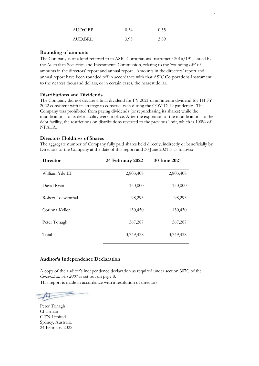| AUD:GBP | 0.54 | 0.55 |
|---------|------|------|
| AUD:BRL | 3.95 | 3.89 |

#### **Rounding of amounts**

The Company is of a kind referred to in ASIC Corporations Instrument 2016/191, issued by the Australian Securities and Investments Commission, relating to the 'rounding off' of amounts in the directors' report and annual report. Amounts in the directors' report and annual report have been rounded off in accordance with that ASIC Corporations Instrument to the nearest thousand dollars, or in certain cases, the nearest dollar.

#### **Distributions and Dividends**

The Company did not declare a final dividend for FY 2021 or an interim dividend for 1H FY 2022 consistent with its strategy to conserve cash during the COVID-19 pandemic. The Company was prohibited from paying dividends (or repurchasing its shares) while the modifications to its debt facility were in place. After the expiration of the modifications to the debt facility, the restrictions on distributions reverted to the previous limit, which is 100% of NPATA.

#### **Directors Holdings of Shares**

The aggregate number of Company fully paid shares held directly, indirectly or beneficially by Directors of the Company at the date of this report and 30 June 2021 is as follows:

| Director          | 24 February 2022 | 30 June 2021 |
|-------------------|------------------|--------------|
| William Yde III   | 2,803,408        | 2,803,408    |
| David Ryan        | 150,000          | 150,000      |
| Robert Loewenthal | 98,293           | 98,293       |
| Corinna Keller    | 130,450          | 130,450      |
| Peter Tonagh      | 567,287          | 567,287      |
| Total             | 3,749,438        | 3,749,438    |

#### **Auditor's Independence Declaration**

A copy of the auditor's independence declaration as required under section 307C of the *Corporations Act 2001* is set out on page 8.

This report is made in accordance with a resolution of directors.

Peter Tonagh Chairman GTN Limited Sydney, Australia 24 February 2022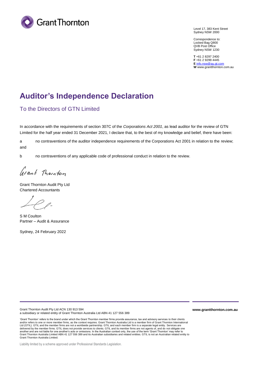

Level 17, 383 Kent Street Sydney NSW 2000

Correspondence to: Locked Bag Q800 QVB Post Office Sydney NSW 1230

**T** +61 2 8297 2400 **F** +61 2 9299 4445 **E** info.nsw@au.gt.com **W** [www.](mailto:info.nsw@au.gt.com)[grantth](http://www.grantthornton.com.au/)ornton.com.au

### **Auditor's Independence Declaration**

### To the Directors of GTN Limited

In accordance with the requirements of section 307C of the *Corporations Act 2001*, as lead auditor for the review of GTN Limited for the half year ended 31 December 2021, I declare that, to the best of my knowledge and belief, there have been:

a no contraventions of the auditor independence requirements of the Corporations Act 2001 in relation to the review; and

b no contraventions of any applicable code of professional conduct in relation to the review.

Grant Thornton

Grant Thornton Audit Pty Ltd Chartered Accountants

 $\rho$  p.

S M Coulton Partner – Audit & Assurance

Sydney, 24 February 2022

Grant Thornton Audit Pty Ltd ACN 130 913 594 a subsidiary or related entity of Grant Thornton Australia Ltd ABN 41 127 556 389

'Grant Thornton' refers to the brand under which the Grant Thornton member firms provide assurance, tax and advisory services to their clients and/or refers to one or more member firms, as the context requires. Grant Thornton Australia Ltd is a member firm of Grant Thornton International Ltd (GTIL). GTIL and the member firms are not a worldwide partnership. GTIL and each member firm is a separate legal entity. Services are delivered by the member firms. GTIL does not provide services to clients. GTIL and its member firms are not agents of, and do not obligate one another and are not liable for one another's acts or omissions. In the Australian context only, the use of the term 'Grant Thornton' may refer to Grant Thornton Australia Limited ABN 41 127 556 389 and its Australian subsidiaries and related entities. GTIL is not an Australian related entity to Grant Thornton Australia Limited.

**www.grantthornton.com.au**

Liability limited by a scheme approved under Professional Standards Legislation.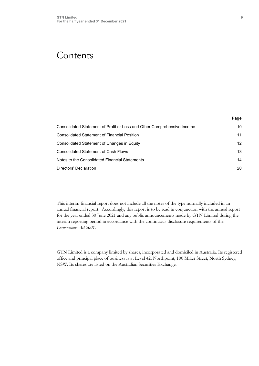### Contents

| Page |
|------|
| 10   |
| 11   |
| 12   |
| 13   |
| 14   |
| 20   |
|      |

This interim financial report does not include all the notes of the type normally included in an annual financial report. Accordingly, this report is to be read in conjunction with the annual report for the year ended 30 June 2021 and any public announcements made by GTN Limited during the interim reporting period in accordance with the continuous disclosure requirements of the *Corporations Act 2001*.

GTN Limited is a company limited by shares, incorporated and domiciled in Australia. Its registered office and principal place of business is at Level 42, Northpoint, 100 Miller Street, North Sydney, NSW. Its shares are listed on the Australian Securities Exchange.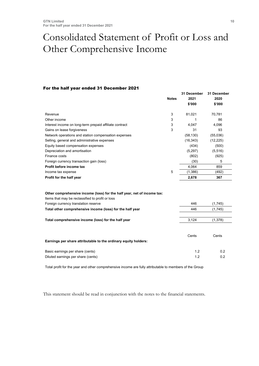## <span id="page-9-0"></span>Consolidated Statement of Profit or Loss and Other Comprehensive Income

#### For the half year ended 31 December 2021

|                                                                                                                             | <b>Notes</b> | 31 December<br>2021<br>\$'000 | 31 December<br>2020<br>\$'000 |
|-----------------------------------------------------------------------------------------------------------------------------|--------------|-------------------------------|-------------------------------|
| Revenue                                                                                                                     | 3            | 81,021                        | 70,781                        |
| Other income                                                                                                                | 3            | 1                             | 86                            |
| Interest income on long-term prepaid affiliate contract                                                                     | 3            | 4,047                         | 4.096                         |
| Gains on lease forgiveness                                                                                                  | 3            | 31                            | 93                            |
| Network operations and station compensation expenses                                                                        |              | (58, 130)                     | (55,036)                      |
| Selling, general and administrative expenses                                                                                |              | (16, 343)                     | (12, 225)                     |
| Equity based compensation expenses                                                                                          |              | (434)                         | (500)                         |
| Depreciation and amortisation                                                                                               |              | (5, 297)                      | (5, 516)                      |
| Finance costs                                                                                                               |              | (802)                         | (925)                         |
| Foreign currency transaction gain (loss)                                                                                    |              | (30)                          | 5                             |
| Profit before income tax                                                                                                    |              | 4,064                         | 859                           |
| Income tax expense                                                                                                          | 5            | (1,386)                       | (492)                         |
| Profit for the half year                                                                                                    |              | 2,678                         | 367                           |
| Other comprehensive income (loss) for the half year, net of income tax:<br>Items that may be reclassified to profit or loss |              |                               |                               |
| Foreign currency translation reserve                                                                                        |              | 446                           | (1,745)                       |
| Total other comprehensive income (loss) for the half year                                                                   |              | 446                           | (1,745)                       |
| Total comprehensive income (loss) for the half year                                                                         |              | 3,124                         | (1, 378)                      |
|                                                                                                                             |              |                               |                               |
| Earnings per share attributable to the ordinary equity holders:                                                             |              | Cents                         | Cents                         |
|                                                                                                                             |              |                               |                               |
| Basic earnings per share (cents)<br>Diluted earnings per share (cents)                                                      |              | 1.2<br>1.2                    | 0.2<br>0.2                    |
|                                                                                                                             |              |                               |                               |

Total profit for the year and other comprehensive income are fully attributable to members of the Group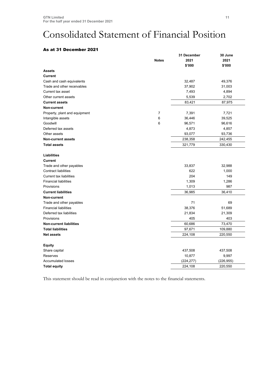## <span id="page-10-0"></span>Consolidated Statement of Financial Position

### As at 31 December 2021

| 2021<br>2021<br><b>Notes</b><br>\$'000<br>\$'000<br><b>Assets</b><br><b>Current</b><br>32,487<br>49,376<br>Cash and cash equivalents<br>Trade and other receivables<br>37,902<br>31,003<br>7,493<br>Current tax asset<br>4,894<br>5,539<br>2,702<br>Other current assets<br>87,975<br>83,421<br><b>Current assets</b><br>Non-current<br>7,391<br>Property, plant and equipment<br>7<br>7,721<br>6<br>Intangible assets<br>36,446<br>39,525<br>Goodwill<br>6<br>96,571<br>96,616<br>Deferred tax assets<br>4,873<br>4,857<br>93,077<br>93,736<br>Other assets<br>238,358<br>242,455<br><b>Non-current assets</b><br><b>Total assets</b><br>321,779<br>330,430<br><b>Liabilities</b><br><b>Current</b><br>Trade and other payables<br>33,837<br>32,988<br><b>Contract liabilities</b><br>622<br>1,000<br><b>Current tax liabilities</b><br>204<br>149<br><b>Financial liabilities</b><br>1,309<br>1,286<br>1,013<br>987<br>Provisions<br>36,410<br><b>Current liabilities</b><br>36,985<br>Non-current<br>71<br>Trade and other payables<br>69<br><b>Financial liabilities</b><br>38,376<br>51,689<br>Deferred tax liabilities<br>21,834<br>21,309<br>403<br>Provisions<br>405<br>60,686<br>73,470<br><b>Non-current liabilities</b><br><b>Total liabilities</b><br>97,671<br>109,880<br>224,108<br>220,550<br><b>Net assets</b><br><b>Equity</b><br>Share capital<br>437,508<br>437,508<br>Reserves<br>10,877<br>9,997<br><b>Accumulated losses</b><br>(224, 277)<br>(226, 955)<br>224,108<br><b>Total equity</b><br>220,550 |  | 31 December | 30 June |  |
|-----------------------------------------------------------------------------------------------------------------------------------------------------------------------------------------------------------------------------------------------------------------------------------------------------------------------------------------------------------------------------------------------------------------------------------------------------------------------------------------------------------------------------------------------------------------------------------------------------------------------------------------------------------------------------------------------------------------------------------------------------------------------------------------------------------------------------------------------------------------------------------------------------------------------------------------------------------------------------------------------------------------------------------------------------------------------------------------------------------------------------------------------------------------------------------------------------------------------------------------------------------------------------------------------------------------------------------------------------------------------------------------------------------------------------------------------------------------------------------------------------------------------------|--|-------------|---------|--|
|                                                                                                                                                                                                                                                                                                                                                                                                                                                                                                                                                                                                                                                                                                                                                                                                                                                                                                                                                                                                                                                                                                                                                                                                                                                                                                                                                                                                                                                                                                                             |  |             |         |  |
|                                                                                                                                                                                                                                                                                                                                                                                                                                                                                                                                                                                                                                                                                                                                                                                                                                                                                                                                                                                                                                                                                                                                                                                                                                                                                                                                                                                                                                                                                                                             |  |             |         |  |
|                                                                                                                                                                                                                                                                                                                                                                                                                                                                                                                                                                                                                                                                                                                                                                                                                                                                                                                                                                                                                                                                                                                                                                                                                                                                                                                                                                                                                                                                                                                             |  |             |         |  |
|                                                                                                                                                                                                                                                                                                                                                                                                                                                                                                                                                                                                                                                                                                                                                                                                                                                                                                                                                                                                                                                                                                                                                                                                                                                                                                                                                                                                                                                                                                                             |  |             |         |  |
|                                                                                                                                                                                                                                                                                                                                                                                                                                                                                                                                                                                                                                                                                                                                                                                                                                                                                                                                                                                                                                                                                                                                                                                                                                                                                                                                                                                                                                                                                                                             |  |             |         |  |
|                                                                                                                                                                                                                                                                                                                                                                                                                                                                                                                                                                                                                                                                                                                                                                                                                                                                                                                                                                                                                                                                                                                                                                                                                                                                                                                                                                                                                                                                                                                             |  |             |         |  |
|                                                                                                                                                                                                                                                                                                                                                                                                                                                                                                                                                                                                                                                                                                                                                                                                                                                                                                                                                                                                                                                                                                                                                                                                                                                                                                                                                                                                                                                                                                                             |  |             |         |  |
|                                                                                                                                                                                                                                                                                                                                                                                                                                                                                                                                                                                                                                                                                                                                                                                                                                                                                                                                                                                                                                                                                                                                                                                                                                                                                                                                                                                                                                                                                                                             |  |             |         |  |
|                                                                                                                                                                                                                                                                                                                                                                                                                                                                                                                                                                                                                                                                                                                                                                                                                                                                                                                                                                                                                                                                                                                                                                                                                                                                                                                                                                                                                                                                                                                             |  |             |         |  |
|                                                                                                                                                                                                                                                                                                                                                                                                                                                                                                                                                                                                                                                                                                                                                                                                                                                                                                                                                                                                                                                                                                                                                                                                                                                                                                                                                                                                                                                                                                                             |  |             |         |  |
|                                                                                                                                                                                                                                                                                                                                                                                                                                                                                                                                                                                                                                                                                                                                                                                                                                                                                                                                                                                                                                                                                                                                                                                                                                                                                                                                                                                                                                                                                                                             |  |             |         |  |
|                                                                                                                                                                                                                                                                                                                                                                                                                                                                                                                                                                                                                                                                                                                                                                                                                                                                                                                                                                                                                                                                                                                                                                                                                                                                                                                                                                                                                                                                                                                             |  |             |         |  |
|                                                                                                                                                                                                                                                                                                                                                                                                                                                                                                                                                                                                                                                                                                                                                                                                                                                                                                                                                                                                                                                                                                                                                                                                                                                                                                                                                                                                                                                                                                                             |  |             |         |  |
|                                                                                                                                                                                                                                                                                                                                                                                                                                                                                                                                                                                                                                                                                                                                                                                                                                                                                                                                                                                                                                                                                                                                                                                                                                                                                                                                                                                                                                                                                                                             |  |             |         |  |
|                                                                                                                                                                                                                                                                                                                                                                                                                                                                                                                                                                                                                                                                                                                                                                                                                                                                                                                                                                                                                                                                                                                                                                                                                                                                                                                                                                                                                                                                                                                             |  |             |         |  |
|                                                                                                                                                                                                                                                                                                                                                                                                                                                                                                                                                                                                                                                                                                                                                                                                                                                                                                                                                                                                                                                                                                                                                                                                                                                                                                                                                                                                                                                                                                                             |  |             |         |  |
|                                                                                                                                                                                                                                                                                                                                                                                                                                                                                                                                                                                                                                                                                                                                                                                                                                                                                                                                                                                                                                                                                                                                                                                                                                                                                                                                                                                                                                                                                                                             |  |             |         |  |
|                                                                                                                                                                                                                                                                                                                                                                                                                                                                                                                                                                                                                                                                                                                                                                                                                                                                                                                                                                                                                                                                                                                                                                                                                                                                                                                                                                                                                                                                                                                             |  |             |         |  |
|                                                                                                                                                                                                                                                                                                                                                                                                                                                                                                                                                                                                                                                                                                                                                                                                                                                                                                                                                                                                                                                                                                                                                                                                                                                                                                                                                                                                                                                                                                                             |  |             |         |  |
|                                                                                                                                                                                                                                                                                                                                                                                                                                                                                                                                                                                                                                                                                                                                                                                                                                                                                                                                                                                                                                                                                                                                                                                                                                                                                                                                                                                                                                                                                                                             |  |             |         |  |
|                                                                                                                                                                                                                                                                                                                                                                                                                                                                                                                                                                                                                                                                                                                                                                                                                                                                                                                                                                                                                                                                                                                                                                                                                                                                                                                                                                                                                                                                                                                             |  |             |         |  |
|                                                                                                                                                                                                                                                                                                                                                                                                                                                                                                                                                                                                                                                                                                                                                                                                                                                                                                                                                                                                                                                                                                                                                                                                                                                                                                                                                                                                                                                                                                                             |  |             |         |  |
|                                                                                                                                                                                                                                                                                                                                                                                                                                                                                                                                                                                                                                                                                                                                                                                                                                                                                                                                                                                                                                                                                                                                                                                                                                                                                                                                                                                                                                                                                                                             |  |             |         |  |
|                                                                                                                                                                                                                                                                                                                                                                                                                                                                                                                                                                                                                                                                                                                                                                                                                                                                                                                                                                                                                                                                                                                                                                                                                                                                                                                                                                                                                                                                                                                             |  |             |         |  |
|                                                                                                                                                                                                                                                                                                                                                                                                                                                                                                                                                                                                                                                                                                                                                                                                                                                                                                                                                                                                                                                                                                                                                                                                                                                                                                                                                                                                                                                                                                                             |  |             |         |  |
|                                                                                                                                                                                                                                                                                                                                                                                                                                                                                                                                                                                                                                                                                                                                                                                                                                                                                                                                                                                                                                                                                                                                                                                                                                                                                                                                                                                                                                                                                                                             |  |             |         |  |
|                                                                                                                                                                                                                                                                                                                                                                                                                                                                                                                                                                                                                                                                                                                                                                                                                                                                                                                                                                                                                                                                                                                                                                                                                                                                                                                                                                                                                                                                                                                             |  |             |         |  |
|                                                                                                                                                                                                                                                                                                                                                                                                                                                                                                                                                                                                                                                                                                                                                                                                                                                                                                                                                                                                                                                                                                                                                                                                                                                                                                                                                                                                                                                                                                                             |  |             |         |  |
|                                                                                                                                                                                                                                                                                                                                                                                                                                                                                                                                                                                                                                                                                                                                                                                                                                                                                                                                                                                                                                                                                                                                                                                                                                                                                                                                                                                                                                                                                                                             |  |             |         |  |
|                                                                                                                                                                                                                                                                                                                                                                                                                                                                                                                                                                                                                                                                                                                                                                                                                                                                                                                                                                                                                                                                                                                                                                                                                                                                                                                                                                                                                                                                                                                             |  |             |         |  |
|                                                                                                                                                                                                                                                                                                                                                                                                                                                                                                                                                                                                                                                                                                                                                                                                                                                                                                                                                                                                                                                                                                                                                                                                                                                                                                                                                                                                                                                                                                                             |  |             |         |  |
|                                                                                                                                                                                                                                                                                                                                                                                                                                                                                                                                                                                                                                                                                                                                                                                                                                                                                                                                                                                                                                                                                                                                                                                                                                                                                                                                                                                                                                                                                                                             |  |             |         |  |
|                                                                                                                                                                                                                                                                                                                                                                                                                                                                                                                                                                                                                                                                                                                                                                                                                                                                                                                                                                                                                                                                                                                                                                                                                                                                                                                                                                                                                                                                                                                             |  |             |         |  |
|                                                                                                                                                                                                                                                                                                                                                                                                                                                                                                                                                                                                                                                                                                                                                                                                                                                                                                                                                                                                                                                                                                                                                                                                                                                                                                                                                                                                                                                                                                                             |  |             |         |  |
|                                                                                                                                                                                                                                                                                                                                                                                                                                                                                                                                                                                                                                                                                                                                                                                                                                                                                                                                                                                                                                                                                                                                                                                                                                                                                                                                                                                                                                                                                                                             |  |             |         |  |
|                                                                                                                                                                                                                                                                                                                                                                                                                                                                                                                                                                                                                                                                                                                                                                                                                                                                                                                                                                                                                                                                                                                                                                                                                                                                                                                                                                                                                                                                                                                             |  |             |         |  |
|                                                                                                                                                                                                                                                                                                                                                                                                                                                                                                                                                                                                                                                                                                                                                                                                                                                                                                                                                                                                                                                                                                                                                                                                                                                                                                                                                                                                                                                                                                                             |  |             |         |  |
|                                                                                                                                                                                                                                                                                                                                                                                                                                                                                                                                                                                                                                                                                                                                                                                                                                                                                                                                                                                                                                                                                                                                                                                                                                                                                                                                                                                                                                                                                                                             |  |             |         |  |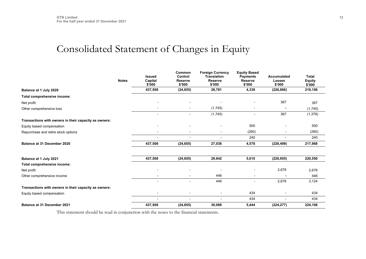## Consolidated Statement of Changes in Equity

<span id="page-11-0"></span>

|                                                       | <b>Notes</b> | <b>Issued</b><br>Capital<br>\$'000 | Common<br>Control<br><b>Reserve</b><br>\$'000 | <b>Foreign Currency</b><br><b>Translation</b><br>Reserve<br>\$'000 | <b>Equity Based</b><br><b>Payments</b><br><b>Reserve</b><br>\$'000 | <b>Accumulated</b><br><b>Losses</b><br>\$'000 | <b>Total</b><br><b>Equity</b><br>\$'000 |
|-------------------------------------------------------|--------------|------------------------------------|-----------------------------------------------|--------------------------------------------------------------------|--------------------------------------------------------------------|-----------------------------------------------|-----------------------------------------|
| Balance at 1 July 2020                                |              | 437,508                            | (24, 655)                                     | 28,781                                                             | 4,338                                                              | (226, 866)                                    | 219,106                                 |
| Total comprehensive income:                           |              |                                    |                                               |                                                                    |                                                                    |                                               |                                         |
| Net profit                                            |              | $\overline{\phantom{0}}$           |                                               |                                                                    |                                                                    | 367                                           | 367                                     |
| Other comprehensive loss                              |              | $\overline{\phantom{a}}$           | $\overline{\phantom{a}}$                      | (1,745)                                                            |                                                                    |                                               | (1,745)                                 |
|                                                       |              | $\overline{a}$                     |                                               | (1,745)                                                            |                                                                    | 367                                           | (1, 378)                                |
| Transactions with owners in their capacity as owners: |              |                                    |                                               |                                                                    |                                                                    |                                               |                                         |
| Equity based compensation                             |              | $\blacksquare$                     |                                               | $\blacksquare$                                                     | 500                                                                |                                               | 500                                     |
| Repurchase and retire stock options                   |              | $\blacksquare$                     | $\blacksquare$                                | $\overline{\phantom{a}}$                                           | (260)                                                              | $\overline{\phantom{a}}$                      | (260)                                   |
|                                                       |              | $\overline{\phantom{0}}$           |                                               |                                                                    | 240                                                                |                                               | 240                                     |
| Balance at 31 December 2020                           |              | 437,508                            | (24, 655)                                     | 27,036                                                             | 4,578                                                              | (226, 499)                                    | 217,968                                 |
| Balance at 1 July 2021                                |              | 437,508                            | (24, 655)                                     | 29,642                                                             | 5,010                                                              | (226, 955)                                    | 220,550                                 |
| Total comprehensive income:                           |              |                                    |                                               |                                                                    |                                                                    |                                               |                                         |
| Net profit                                            |              |                                    |                                               |                                                                    |                                                                    | 2,678                                         | 2,678                                   |
| Other comprehensive income                            |              |                                    |                                               | 446                                                                |                                                                    |                                               | 446                                     |
|                                                       |              | $\overline{\phantom{0}}$           |                                               | 446                                                                |                                                                    | 2,678                                         | 3,124                                   |
| Transactions with owners in their capacity as owners: |              |                                    |                                               |                                                                    |                                                                    |                                               |                                         |
| Equity based compensation                             |              | $\blacksquare$                     | $\overline{\phantom{a}}$                      | $\overline{\phantom{a}}$                                           | 434                                                                | $\overline{\phantom{a}}$                      | 434                                     |
|                                                       |              | $\overline{\phantom{0}}$           |                                               | $\overline{a}$                                                     | 434                                                                |                                               | 434                                     |
| <b>Balance at 31 December 2021</b>                    |              | 437,508                            | (24, 655)                                     | 30,088                                                             | 5,444                                                              | (224, 277)                                    | 224,108                                 |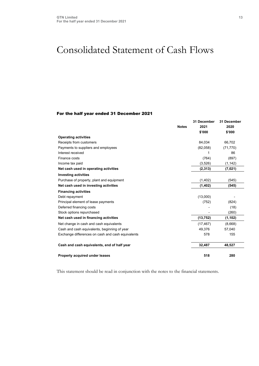### <span id="page-12-0"></span>Consolidated Statement of Cash Flows

#### For the half year ended 31 December 2021

|                                                   | <b>Notes</b> | 31 December<br>2021<br>\$'000 | 31 December<br>2020<br>\$'000 |
|---------------------------------------------------|--------------|-------------------------------|-------------------------------|
| <b>Operating activities</b>                       |              |                               |                               |
| Receipts from customers                           |              | 84,034                        | 66,702                        |
| Payments to suppliers and employees               |              | (82,058)                      | (71, 770)                     |
| Interest received                                 |              | 1                             | 86                            |
| Finance costs                                     |              | (764)                         | (897)                         |
| Income tax paid                                   |              | (3,526)                       | (1, 142)                      |
| Net cash used in operating activities             |              | (2, 313)                      | (7,021)                       |
| <b>Investing activities</b>                       |              |                               |                               |
| Purchase of property, plant and equipment         |              | (1, 402)                      | (545)                         |
| Net cash used in investing activities             |              | (1,402)                       | (545)                         |
| <b>Financing activities</b>                       |              |                               |                               |
| Debt repayment                                    |              | (13,000)                      |                               |
| Principal element of lease payments               |              | (752)                         | (824)                         |
| Deferred financing costs                          |              |                               | (18)                          |
| Stock options repurchased                         |              |                               | (260)                         |
| Net cash used in financing activities             |              | (13, 752)                     | (1, 102)                      |
| Net change in cash and cash equivalents           |              | (17, 467)                     | (8,668)                       |
| Cash and cash equivalents, beginning of year      |              | 49,376                        | 57,040                        |
| Exchange differences on cash and cash equivalents |              | 578                           | 155                           |
| Cash and cash equivalents, end of half year       |              | 32,487                        | 48,527                        |
| Property acquired under leases                    |              | 518                           | 280                           |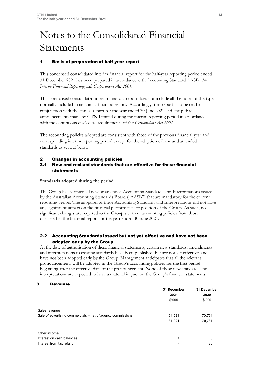# Notes to the Consolidated Financial Statements

#### 1 Basis of preparation of half year report

This condensed consolidated interim financial report for the half-year reporting period ended 31 December 2021 has been prepared in accordance with Accounting Standard AASB 134 *Interim Financial Reporting* and *Corporations Act 2001.*

This condensed consolidated interim financial report does not include all the notes of the type normally included in an annual financial report. Accordingly, this report is to be read in conjunction with the annual report for the year ended 30 June 2021 and any public announcements made by GTN Limited during the interim reporting period in accordance with the continuous disclosure requirements of the *Corporations Act 2001*.

The accounting policies adopted are consistent with those of the previous financial year and corresponding interim reporting period except for the adoption of new and amended standards as set out below:

#### 2 Changes in accounting policies

#### 2.1 New and revised standards that are effective for these financial statements

#### **Standards adopted during the period**

The Group has adopted all new or amended Accounting Standards and Interpretations issued by the Australian Accounting Standards Board ("AASB") that are mandatory for the current reporting period. The adoption of these Accounting Standards and Interpretations did not have any significant impact on the financial performance or position of the Group. As such, no significant changes are required to the Group's current accounting policies from those disclosed in the financial report for the year ended 30 June 2021.

#### 2.2 Accounting Standards issued but not yet effective and have not been adopted early by the Group

At the date of authorisation of these financial statements, certain new standards, amendments and interpretations to existing standards have been published, but are not yet effective, and have not been adopted early by the Group. Management anticipates that all the relevant pronouncements will be adopted in the Group's accounting policies for the first period beginning after the effective date of the pronouncement. None of these new standards and interpretations are expected to have a material impact on the Group's financial statements.

#### 3 Revenue

|                                                             | 31 December<br>2021<br>\$'000 | 31 December<br>2020<br>\$'000 |
|-------------------------------------------------------------|-------------------------------|-------------------------------|
| Sales revenue                                               |                               |                               |
| Sale of advertising commercials – net of agency commissions | 81,021                        | 70,781                        |
|                                                             | 81,021                        | 70,781                        |
| Other income                                                |                               |                               |
| Interest on cash balances                                   | 1                             | 6                             |
| Interest from tax refund                                    |                               | 80                            |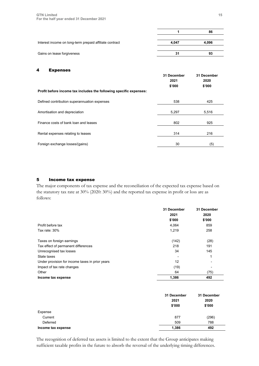|                                                         |       | 86    |
|---------------------------------------------------------|-------|-------|
|                                                         |       |       |
| Interest income on long-term prepaid affiliate contract | 4.047 | 4.096 |
|                                                         |       |       |
| Gains on lease forgiveness                              | 31    | 93    |

#### 4 Expenses

|                                                                    | 31 December<br>2021<br>\$'000 | 31 December<br>2020<br>\$'000 |
|--------------------------------------------------------------------|-------------------------------|-------------------------------|
| Profit before income tax includes the following specific expenses: |                               |                               |
| Defined contribution superannuation expenses                       | 538                           | 425                           |
| Amortisation and depreciation                                      | 5,297                         | 5,516                         |
| Finance costs of bank loan and leases                              | 802                           | 925                           |
| Rental expenses relating to leases                                 | 314                           | 216                           |
| Foreign exchange losses/(gains)                                    | 30                            | $\left( 5\right)$             |

#### 5 Income tax expense

The major components of tax expense and the reconciliation of the expected tax expense based on the statutory tax rate at 30% (2020: 30%) and the reported tax expense in profit or loss are as follows:

|                                                 | 31 December<br>2021 | 31 December<br>2020 |
|-------------------------------------------------|---------------------|---------------------|
|                                                 | \$'000              | \$'000              |
| Profit before tax                               | 4,064               | 859                 |
| Tax rate: $30\%$                                | 1,219               | 258                 |
| Taxes on foreign earnings                       | (142)               | (28)                |
| Tax effect of permanent differences             | 218                 | 191                 |
| Unrecognised tax losses                         | 34                  | 145                 |
| State taxes                                     |                     | 1                   |
| Under provision for income taxes in prior years | 12                  |                     |
| Impact of tax rate changes                      | (19)                |                     |
| Other                                           | 64                  | (75)                |
| Income tax expense                              | 1,386               | 492                 |

|                    | 31 December<br>2021<br>\$'000 | 31 December<br>2020<br>\$'000 |
|--------------------|-------------------------------|-------------------------------|
| Expense            |                               |                               |
| Current            | 877                           | (296)                         |
| Deferred           | 509                           | 788                           |
| Income tax expense | 1,386                         | 492                           |

The recognition of deferred tax assets is limited to the extent that the Group anticipates making sufficient taxable profits in the future to absorb the reversal of the underlying timing differences.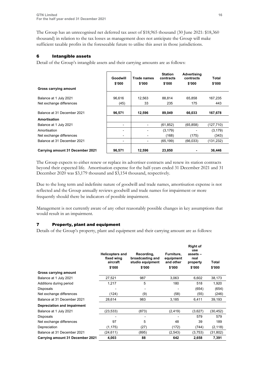The Group has an unrecognised net deferred tax asset of \$18,965 thousand (30 June 2021: \$18,360 thousand) in relation to the tax losses as management does not anticipate the Group will make sufficient taxable profits in the foreseeable future to utilise this asset in those jurisdictions.

#### 6 Intangible assets

Detail of the Group's intangible assets and their carrying amounts are as follows:

|                                  | Goodwill<br>\$'000 | <b>Trade names</b><br>\$'000 | <b>Station</b><br>contracts<br>\$'000 | Advertising<br>contracts<br>\$'000 | Total<br>\$'000 |
|----------------------------------|--------------------|------------------------------|---------------------------------------|------------------------------------|-----------------|
| Gross carrying amount            |                    |                              |                                       |                                    |                 |
| Balance at 1 July 2021           | 96,616             | 12,563                       | 88.814                                | 65,858                             | 167,235         |
| Net exchange differences         | (45)               | 33                           | 235                                   | 175                                | 443             |
| Balance at 31 December 2021      | 96,571             | 12,596                       | 89,049                                | 66,033                             | 167,678         |
| Amortisation                     |                    |                              |                                       |                                    |                 |
| Balance at 1 July 2021           | $\blacksquare$     |                              | (61,852)                              | (65, 858)                          | (127,710)       |
| Amortisation                     |                    |                              | (3, 179)                              |                                    | (3, 179)        |
| Net exchange differences         | -                  |                              | (168)                                 | (175)                              | (343)           |
| Balance at 31 December 2021      | ۰                  |                              | (65, 199)                             | (66, 033)                          | (131,232)       |
| Carrying amount 31 December 2021 | 96,571             | 12,596                       | 23,850                                |                                    | 36,446          |

The Group expects to either renew or replace its advertiser contracts and renew its station contracts beyond their expected life. Amortisation expense for the half-years ended 31 December 2021 and 31 December 2020 was \$3,179 thousand and \$3,154 thousand, respectively.

Due to the long term and indefinite nature of goodwill and trade names, amortisation expense is not reflected and the Group annually reviews goodwill and trade names for impairment or more frequently should there be indicators of possible impairment.

Management is not currently aware of any other reasonably possible changes in key assumptions that would result in an impairment.

#### 7 Property, plant and equipment

Details of the Group's property, plant and equipment and their carrying amount are as follows:

|                                  | <b>Helicopters and</b><br>fixed wing<br>aircraft<br>\$'000 | Recording,<br>broadcasting and<br>studio equipment<br>\$'000 | Furniture,<br>equipment<br>and other<br>\$'000 | <b>Right of</b><br>use<br>assets -<br>real<br>property<br>\$'000 | Total<br>\$'000 |
|----------------------------------|------------------------------------------------------------|--------------------------------------------------------------|------------------------------------------------|------------------------------------------------------------------|-----------------|
| Gross carrying amount            |                                                            |                                                              |                                                |                                                                  |                 |
| Balance at 1 July 2021           | 27,521                                                     | 987                                                          | 3,063                                          | 6,602                                                            | 38,173          |
| Additions during period          | 1,217                                                      | 5                                                            | 180                                            | 518                                                              | 1,920           |
| <b>Disposals</b>                 |                                                            |                                                              |                                                | (654)                                                            | (654)           |
| Net exchange differences         | (124)                                                      | (9)                                                          | (58)                                           | (55)                                                             | (246)           |
| Balance at 31 December 2021      | 28,614                                                     | 983                                                          | 3,185                                          | 6,411                                                            | 39,193          |
| Depreciation and impairment      |                                                            |                                                              |                                                |                                                                  |                 |
| Balance at 1 July 2021           | (23, 533)                                                  | (873)                                                        | (2, 419)                                       | (3,627)                                                          | (30,452)        |
| Disposals                        |                                                            |                                                              |                                                | 579                                                              | 579             |
| Net exchange differences         | 97                                                         | 5                                                            | 48                                             | 39                                                               | 189             |
| Depreciation                     | (1, 175)                                                   | (27)                                                         | (172)                                          | (744)                                                            | (2, 118)        |
| Balance at 31 December 2021      | (24, 611)                                                  | (895)                                                        | (2, 543)                                       | (3,753)                                                          | (31,802)        |
| Carrying amount 31 December 2021 | 4,003                                                      | 88                                                           | 642                                            | 2,658                                                            | 7,391           |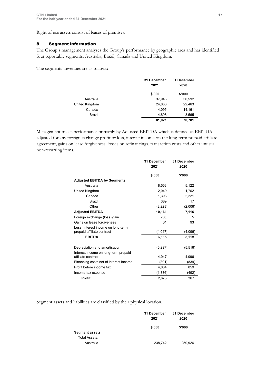Right of use assets consist of leases of premises.

#### 8 Segment information

The Group's management analyses the Group's performance by geographic area and has identified four reportable segments: Australia, Brazil, Canada and United Kingdom.

The segments' revenues are as follows:

|                | 31 December | 31 December |
|----------------|-------------|-------------|
|                | 2021        | 2020        |
|                | \$'000      | \$'000      |
| Australia      | 37,948      | 30,592      |
| United Kingdom | 24,080      | 22,463      |
| Canada         | 14,095      | 14,161      |
| Brazil         | 4,898       | 3,565       |
|                | 81,021      | 70,781      |

Management tracks performance primarily by Adjusted EBITDA which is defined as EBITDA adjusted for any foreign exchange profit or loss, interest income on the long-term prepaid affiliate agreement, gains on lease forgiveness, losses on refinancings, transaction costs and other unusual non-recurring items.

|                                        | 31 December<br>2021 | 31 December<br>2020 |
|----------------------------------------|---------------------|---------------------|
|                                        | \$'000              | \$'000              |
| <b>Adjusted EBITDA by Segments</b>     |                     |                     |
| Australia                              | 8,553               | 5,122               |
| United Kingdom                         | 2,049               | 1,762               |
| Canada                                 | 1,398               | 2,221               |
| Brazil                                 | 389                 | 17                  |
| Other                                  | (2,228)             | (2,006)             |
| <b>Adjusted EBITDA</b>                 | 10,161              | 7,116               |
| Foreign exchange (loss) gain           | (30)                | 5                   |
| Gains on lease forgiveness             | 31                  | 93                  |
| Less: Interest income on long-term     |                     |                     |
| prepaid affiliate contract             | (4,047)             | (4,096)             |
| <b>EBITDA</b>                          | 6,115               | 3,118               |
| Depreciation and amortisation          | (5,297)             | (5, 516)            |
| Interest income on long-term prepaid   |                     |                     |
| affiliate contract                     | 4,047               | 4,096               |
| Financing costs net of interest income | (801)               | (839)               |
| Profit before income tax               | 4,064               | 859                 |
| Income tax expense                     | (1,386)             | (492)               |
| <b>Profit</b>                          | 2,678               | 367                 |

Segment assets and liabilities are classified by their physical location.

|                       | 31 December | 31 December |
|-----------------------|-------------|-------------|
|                       | 2021        | 2020        |
|                       | \$'000      | \$'000      |
| <b>Segment assets</b> |             |             |
| Total Assets:         |             |             |
| Australia             | 238,742     | 250,926     |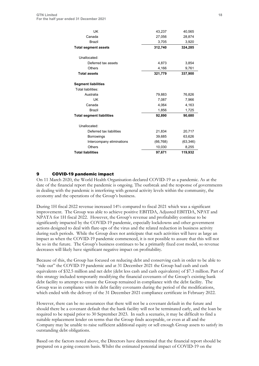| UK                               | 43,237    | 40,565    |
|----------------------------------|-----------|-----------|
| Canada                           | 27,056    | 28,874    |
| <b>Brazil</b>                    | 3,705     | 3,920     |
| <b>Total segment assets</b>      | 312,740   | 324,285   |
| Unallocated:                     |           |           |
| Deferred tax assets              | 4,873     | 3,854     |
| <b>Others</b>                    | 4,166     | 9,761     |
| <b>Total assets</b>              | 321,779   | 337,900   |
| <b>Segment liabilities</b>       |           |           |
| Total liabilities:               |           |           |
| Australia                        | 79,883    | 76,826    |
| UK                               | 7,087     | 7,966     |
| Canada                           | 4,064     | 4,163     |
| Brazil                           | 1,856     | 1,725     |
| <b>Total segment liabilities</b> | 92,890    | 90,680    |
| Unallocated:                     |           |           |
| Deferred tax liabilities         | 21,834    | 20,717    |
| <b>Borrowings</b>                | 39,685    | 63,626    |
| Intercompany eliminations        | (66, 768) | (63, 346) |
| <b>Others</b>                    | 10,030    | 8,255     |
| <b>Total liabilities</b>         | 97,671    | 119,932   |

#### 9 COVID-19 pandemic impact

On 11 March 2020, the World Health Organisation declared COVID-19 as a pandemic. As at the date of the financial report the pandemic is ongoing. The outbreak and the response of governments in dealing with the pandemic is interfering with general activity levels within the community, the economy and the operations of the Group's business.

During 1H fiscal 2022 revenue increased 14% compared to fiscal 2021 which was a significant improvement. The Group was able to achieve positive EBITDA, Adjusted EBITDA, NPAT and NPATA for 1H fiscal 2022. However, the Group's revenue and profitability continue to be significantly impacted by the COVID-19 pandemic, especially lockdowns and other government actions designed to deal with flare-ups of the virus and the related reduction in business activity during such periods. While the Group does not anticipate that such activities will have as large an impact as when the COVID-19 pandemic commenced, it is not possible to assure that this will not be so in the future. The Group's business continues to be a primarily fixed cost model, so revenue decreases will likely have significant negative impact on profitability.

Because of this, the Group has focused on reducing debt and conserving cash in order to be able to "ride out" the COVID-19 pandemic and at 31 December 2021 the Group had cash and cash equivalents of \$32.5 million and net debt (debt less cash and cash equivalents) of \$7.3 million. Part of this strategy included temporarily modifying the financial covenants of the Group's existing bank debt facility to attempt to ensure the Group remained in compliance with the debt facility. The Group was in compliance with its debt facility covenants during the period of the modifications, which ended with the delivery of the 31 December 2021 compliance certificate in February 2022.

However, there can be no assurances that there will not be a covenant default in the future and should there be a covenant default that the bank facility will not be terminated early, and the loan be required to be repaid prior to 30 September 2023. In such a scenario, it may be difficult to find a suitable replacement lender on terms that the Group finds acceptable, or even at all and the Company may be unable to raise sufficient additional equity or sell enough Group assets to satisfy its outstanding debt obligations.

Based on the factors noted above, the Directors have determined that the financial report should be prepared on a going concern basis. Whilst the estimated potential impact of COVID-19 on the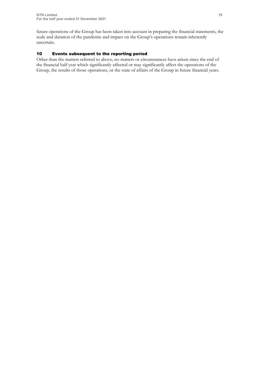future operations of the Group has been taken into account in preparing the financial statements, the scale and duration of the pandemic and impact on the Group's operations remain inherently uncertain.

#### 10 Events subsequent to the reporting period

Other than the matters referred to above, no matters or circumstances have arisen since the end of the financial half year which significantly affected or may significantly affect the operations of the Group, the results of those operations, or the state of affairs of the Group in future financial years.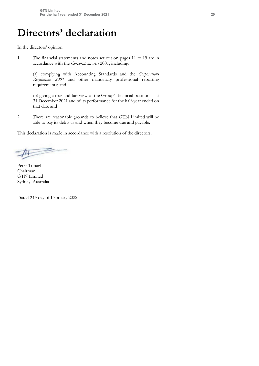## **Directors' declaration**

In the directors' opinion:

1. The financial statements and notes set out on pages 11 to 19 are in accordance with the *Corporations Act* 2001, including:

> (a) complying with Accounting Standards and the *Corporations Regulations 2001* and other mandatory professional reporting requirements; and

> (b) giving a true and fair view of the Group's financial position as at 31 December 2021 and of its performance for the half-year ended on that date and

2. There are reasonable grounds to believe that GTN Limited will be able to pay its debts as and when they become due and payable.

This declaration is made in accordance with a resolution of the directors.

山

Peter Tonagh Chairman GTN Limited Sydney, Australia

Dated 24th day of February 2022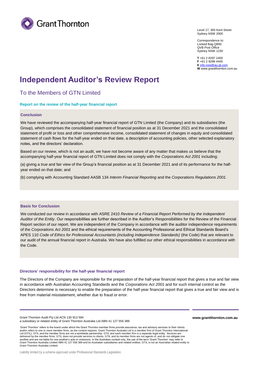

Level 17, 383 Kent Street Sydney NSW 2000

Correspondence to: Locked Bag Q800 QVB Post Office Sydney NSW 1230

**T** +61 2 8297 2400 **F** +61 2 9299 4445 **E** [info.nsw@au.gt.com](mailto:info.nsw@au.gt.com) **W** [www.grantthornton.com.au](http://www.grantthornton.com.au/)

### **Independent Auditor's Review Report**

To the Members of GTN Limited

#### **Report on the review of the half-year financial report**

#### **Conclusion**

We have reviewed the accompanying half-year financial report of GTN Limited (the Company) and its subsidiaries (the Group), which comprises the consolidated statement of financial position as at 31 December 2021 and the consolidated statement of profit or loss and other comprehensive income, consolidated statement of changes in equity and consolidated statement of cash flows for the half-year ended on that date, a description of accounting policies, other selected explanatory notes, and the directors' declaration.

Based on our review, which is not an audit, we have not become aware of any matter that makes us believe that the accompanying half-year financial report of GTN Limited does not comply with the *Corporations Act 2001* including:

(a) giving a true and fair view of the Group's financial position as at 31 December 2021 and of its performance for the halfyear ended on that date; and

(b) complying with Accounting Standard AASB 134 *Interim Financial Reporting* and the *Corporations Regulations 2001.*

#### **Basis for Conclusion**

We conducted our review in accordance with ASRE 2410 *Review of a Financial Report Performed by the Independent Auditor of the Entity*. Our responsibilities are further described in the Auditor's Responsibilities for the Review of the Financial Report section of our report. We are independent of the Company in accordance with the auditor independence requirements of the *Corporations Act 2001* and the ethical requirements of the Accounting Professional and Ethical Standards Board's APES 110 *Code of Ethics for Professional Accountants (including Independence Standards)* (the Code) that are relevant to our audit of the annual financial report in Australia. We have also fulfilled our other ethical responsibilities in accordance with the Code.

#### **Directors' responsibility for the half-year financial report**

The Directors of the Company are responsible for the preparation of the half-year financial report that gives a true and fair view in accordance with Australian Accounting Standards and the *Corporations Act 2001* and for such internal control as the Directors determine is necessary to enable the preparation of the half-year financial report that gives a true and fair view and is free from material misstatement, whether due to fraud or error.

Grant Thornton Audit Pty Ltd ACN 130 913 594

'Grant Thornton' refers to the brand under which the Grant Thornton member firms provide assurance, tax and advisory services to their clients and/or refers to one or more member firms, as the context requires. Grant Thornton Australia Ltd is a member firm of Grant Thornton International Ltd (GTIL). GTIL and the member firms are not a worldwide partnership. GTIL and each member firm is a separate legal entity. Services are delivered by the member firms. GTIL does not provide services to clients. GTIL and its member firms are not agents of, and do not obligate one another and are not liable for one another's acts or omissions. In the Australian context only, the use of the term 'Grant Thornton' may refer to Grant Thornton Australia Limited ABN 41 127 556 389 and its Australian subsidiaries and related entities. GTIL is not an Australian related entity to Grant Thornton Australia Limited.

**[www.grantthornton.com.au](http://www.grantthornton.com.au/)**

a subsidiary or related entity of Grant Thornton Australia Ltd ABN 41 127 556 389